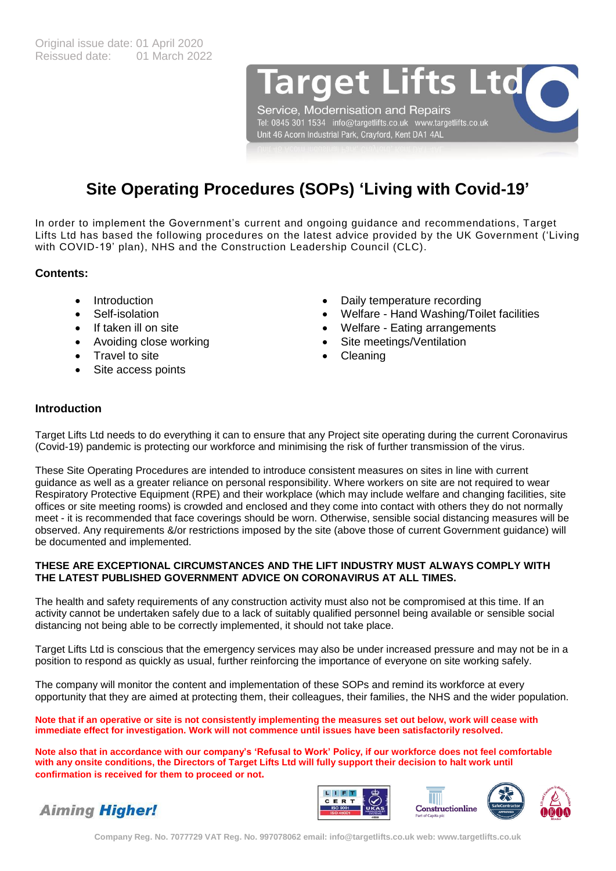arget Lifts Ltd

Service, Modernisation and Repairs Tel: 0845 301 1534 info@targetlifts.co.uk www.targetlifts.co.uk Unit 46 Acorn Industrial Park, Crayford, Kent DA1 4AL

# **Site Operating Procedures (SOPs) 'Living with Covid-19'**

In order to implement the Government's current and ongoing guidance and recommendations, Target Lifts Ltd has based the following procedures on the latest advice provided by the UK Government ('Living with COVID-19' plan), NHS and the Construction Leadership Council (CLC).

# **Contents:**

- Introduction
- Self-isolation
- If taken ill on site
- Avoiding close working
- Travel to site
- Site access points
- Daily temperature recording
- Welfare Hand Washing/Toilet facilities
- Welfare Eating arrangements
- Site meetings/Ventilation
- Cleaning

# **Introduction**

Target Lifts Ltd needs to do everything it can to ensure that any Project site operating during the current Coronavirus (Covid-19) pandemic is protecting our workforce and minimising the risk of further transmission of the virus.

These Site Operating Procedures are intended to introduce consistent measures on sites in line with current guidance as well as a greater reliance on personal responsibility. Where workers on site are not required to wear Respiratory Protective Equipment (RPE) and their workplace (which may include welfare and changing facilities, site offices or site meeting rooms) is crowded and enclosed and they come into contact with others they do not normally meet - it is recommended that face coverings should be worn. Otherwise, sensible social distancing measures will be observed. Any requirements &/or restrictions imposed by the site (above those of current Government guidance) will be documented and implemented.

## **THESE ARE EXCEPTIONAL CIRCUMSTANCES AND THE LIFT INDUSTRY MUST ALWAYS COMPLY WITH THE LATEST PUBLISHED GOVERNMENT ADVICE ON CORONAVIRUS AT ALL TIMES.**

The health and safety requirements of any construction activity must also not be compromised at this time. If an activity cannot be undertaken safely due to a lack of suitably qualified personnel being available or sensible social distancing not being able to be correctly implemented, it should not take place.

Target Lifts Ltd is conscious that the emergency services may also be under increased pressure and may not be in a position to respond as quickly as usual, further reinforcing the importance of everyone on site working safely.

The company will monitor the content and implementation of these SOPs and remind its workforce at every opportunity that they are aimed at protecting them, their colleagues, their families, the NHS and the wider population.

**Note that if an operative or site is not consistently implementing the measures set out below, work will cease with immediate effect for investigation. Work will not commence until issues have been satisfactorily resolved.**

**Note also that in accordance with our company's 'Refusal to Work' Policy, if our workforce does not feel comfortable with any onsite conditions, the Directors of Target Lifts Ltd will fully support their decision to halt work until confirmation is received for them to proceed or not.**







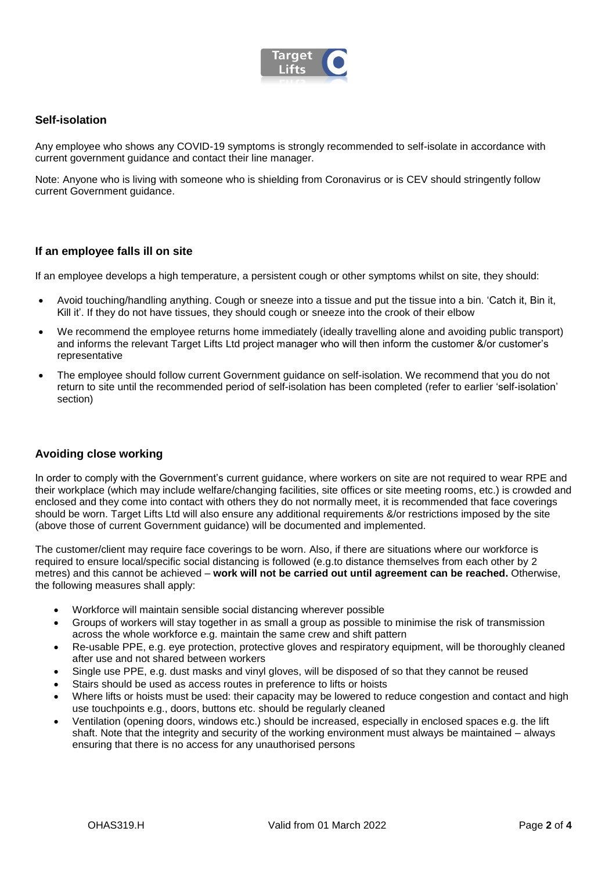

## **Self-isolation**

Any employee who shows any COVID-19 symptoms is strongly recommended to self-isolate in accordance with current government guidance and contact their line manager.

Note: Anyone who is living with someone who is shielding from Coronavirus or is CEV should stringently follow current Government guidance.

## **If an employee falls ill on site**

If an employee develops a high temperature, a persistent cough or other symptoms whilst on site, they should:

- Avoid touching/handling anything. Cough or sneeze into a tissue and put the tissue into a bin. 'Catch it, Bin it, Kill it'. If they do not have tissues, they should cough or sneeze into the crook of their elbow
- We recommend the employee returns home immediately (ideally travelling alone and avoiding public transport) and informs the relevant Target Lifts Ltd project manager who will then inform the customer &/or customer's representative
- The employee should follow current Government guidance on self-isolation. We recommend that you do not return to site until the recommended period of self-isolation has been completed (refer to earlier 'self-isolation' section)

## **Avoiding close working**

In order to comply with the Government's current guidance, where workers on site are not required to wear RPE and their workplace (which may include welfare/changing facilities, site offices or site meeting rooms, etc.) is crowded and enclosed and they come into contact with others they do not normally meet, it is recommended that face coverings should be worn. Target Lifts Ltd will also ensure any additional requirements &/or restrictions imposed by the site (above those of current Government guidance) will be documented and implemented.

The customer/client may require face coverings to be worn. Also, if there are situations where our workforce is required to ensure local/specific social distancing is followed (e.g.to distance themselves from each other by 2 metres) and this cannot be achieved – **work will not be carried out until agreement can be reached.** Otherwise, the following measures shall apply:

- Workforce will maintain sensible social distancing wherever possible
- Groups of workers will stay together in as small a group as possible to minimise the risk of transmission across the whole workforce e.g. maintain the same crew and shift pattern
- Re-usable PPE, e.g. eye protection, protective gloves and respiratory equipment, will be thoroughly cleaned after use and not shared between workers
- Single use PPE, e.g. dust masks and vinyl gloves, will be disposed of so that they cannot be reused
- Stairs should be used as access routes in preference to lifts or hoists
- Where lifts or hoists must be used: their capacity may be lowered to reduce congestion and contact and high use touchpoints e.g., doors, buttons etc. should be regularly cleaned
- Ventilation (opening doors, windows etc.) should be increased, especially in enclosed spaces e.g. the lift shaft. Note that the integrity and security of the working environment must always be maintained – always ensuring that there is no access for any unauthorised persons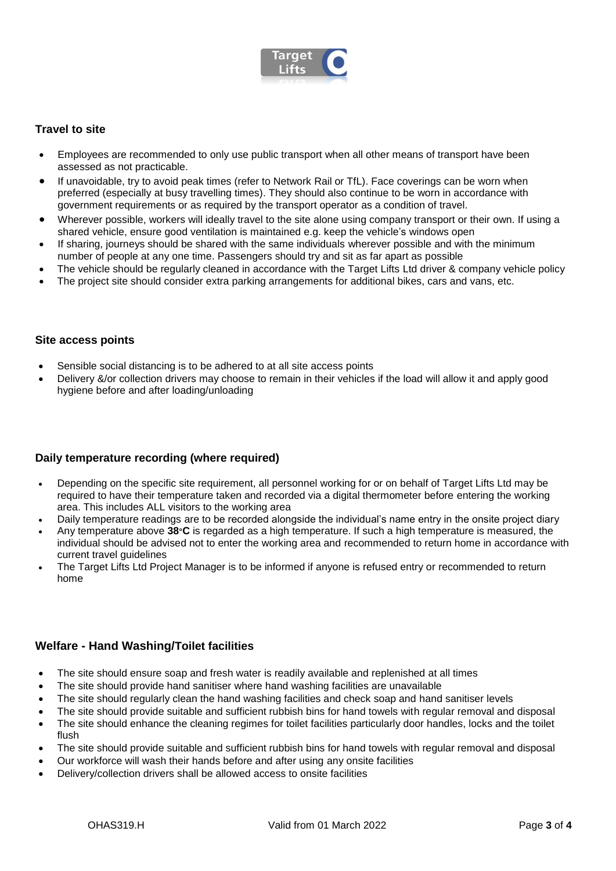

# **Travel to site**

- Employees are recommended to only use public transport when all other means of transport have been assessed as not practicable.
- If unavoidable, try to avoid peak times (refer to Network Rail or TfL). Face coverings can be worn when preferred (especially at busy travelling times). They should also continue to be worn in accordance with government requirements or as required by the transport operator as a condition of travel.
- Wherever possible, workers will ideally travel to the site alone using company transport or their own. If using a shared vehicle, ensure good ventilation is maintained e.g. keep the vehicle's windows open
- If sharing, journeys should be shared with the same individuals wherever possible and with the minimum number of people at any one time. Passengers should try and sit as far apart as possible
- The vehicle should be regularly cleaned in accordance with the Target Lifts Ltd driver & company vehicle policy
- The project site should consider extra parking arrangements for additional bikes, cars and vans, etc.

#### **Site access points**

- Sensible social distancing is to be adhered to at all site access points
- Delivery &/or collection drivers may choose to remain in their vehicles if the load will allow it and apply good hygiene before and after loading/unloading

## **Daily temperature recording (where required)**

- Depending on the specific site requirement, all personnel working for or on behalf of Target Lifts Ltd may be required to have their temperature taken and recorded via a digital thermometer before entering the working area. This includes ALL visitors to the working area
- Daily temperature readings are to be recorded alongside the individual's name entry in the onsite project diary
- Any temperature above **38°C** is regarded as a high temperature. If such a high temperature is measured, the individual should be advised not to enter the working area and recommended to return home in accordance with current travel quidelines
- The Target Lifts Ltd Project Manager is to be informed if anyone is refused entry or recommended to return home

## **Welfare - Hand Washing/Toilet facilities**

- The site should ensure soap and fresh water is readily available and replenished at all times
- The site should provide hand sanitiser where hand washing facilities are unavailable
- The site should regularly clean the hand washing facilities and check soap and hand sanitiser levels
- The site should provide suitable and sufficient rubbish bins for hand towels with regular removal and disposal
- The site should enhance the cleaning regimes for toilet facilities particularly door handles, locks and the toilet flush
- The site should provide suitable and sufficient rubbish bins for hand towels with regular removal and disposal
- Our workforce will wash their hands before and after using any onsite facilities
- Delivery/collection drivers shall be allowed access to onsite facilities